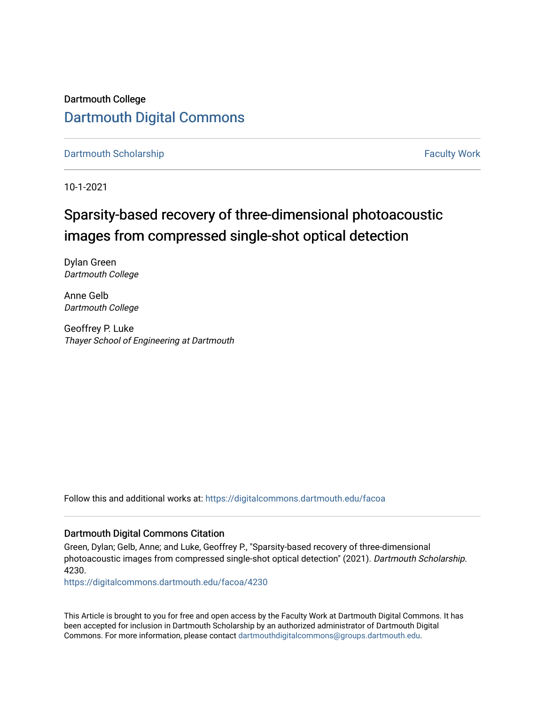Dartmouth College [Dartmouth Digital Commons](https://digitalcommons.dartmouth.edu/) 

[Dartmouth Scholarship](https://digitalcommons.dartmouth.edu/facoa) Faculty Work

10-1-2021

# Sparsity-based recovery of three-dimensional photoacoustic images from compressed single-shot optical detection

Dylan Green Dartmouth College

Anne Gelb Dartmouth College

Geoffrey P. Luke Thayer School of Engineering at Dartmouth

Follow this and additional works at: [https://digitalcommons.dartmouth.edu/facoa](https://digitalcommons.dartmouth.edu/facoa?utm_source=digitalcommons.dartmouth.edu%2Ffacoa%2F4230&utm_medium=PDF&utm_campaign=PDFCoverPages)

# Dartmouth Digital Commons Citation

Green, Dylan; Gelb, Anne; and Luke, Geoffrey P., "Sparsity-based recovery of three-dimensional photoacoustic images from compressed single-shot optical detection" (2021). Dartmouth Scholarship. 4230.

[https://digitalcommons.dartmouth.edu/facoa/4230](https://digitalcommons.dartmouth.edu/facoa/4230?utm_source=digitalcommons.dartmouth.edu%2Ffacoa%2F4230&utm_medium=PDF&utm_campaign=PDFCoverPages) 

This Article is brought to you for free and open access by the Faculty Work at Dartmouth Digital Commons. It has been accepted for inclusion in Dartmouth Scholarship by an authorized administrator of Dartmouth Digital Commons. For more information, please contact [dartmouthdigitalcommons@groups.dartmouth.edu](mailto:dartmouthdigitalcommons@groups.dartmouth.edu).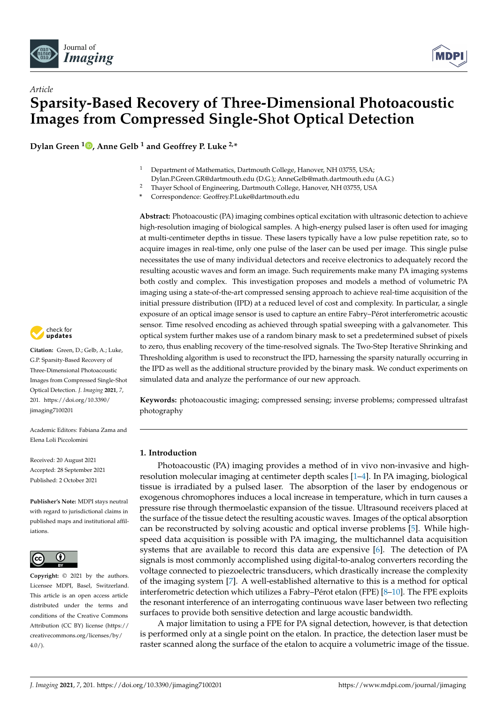



**Dylan Green <sup>1</sup> [,](https://orcid.org/0000-0001-6184-0183) Anne Gelb <sup>1</sup> and Geoffrey P. Luke 2,\***

- <sup>1</sup> Department of Mathematics, Dartmouth College, Hanover, NH 03755, USA;
- Dylan.P.Green.GR@dartmouth.edu (D.G.); AnneGelb@math.dartmouth.edu (A.G.)
- <sup>2</sup> Thayer School of Engineering, Dartmouth College, Hanover, NH 03755, USA

**\*** Correspondence: Geoffrey.P.Luke@dartmouth.edu

**Abstract:** Photoacoustic (PA) imaging combines optical excitation with ultrasonic detection to achieve high-resolution imaging of biological samples. A high-energy pulsed laser is often used for imaging at multi-centimeter depths in tissue. These lasers typically have a low pulse repetition rate, so to acquire images in real-time, only one pulse of the laser can be used per image. This single pulse necessitates the use of many individual detectors and receive electronics to adequately record the resulting acoustic waves and form an image. Such requirements make many PA imaging systems both costly and complex. This investigation proposes and models a method of volumetric PA imaging using a state-of-the-art compressed sensing approach to achieve real-time acquisition of the initial pressure distribution (IPD) at a reduced level of cost and complexity. In particular, a single exposure of an optical image sensor is used to capture an entire Fabry–Pérot interferometric acoustic sensor. Time resolved encoding as achieved through spatial sweeping with a galvanometer. This optical system further makes use of a random binary mask to set a predetermined subset of pixels to zero, thus enabling recovery of the time-resolved signals. The Two-Step Iterative Shrinking and Thresholding algorithm is used to reconstruct the IPD, harnessing the sparsity naturally occurring in the IPD as well as the additional structure provided by the binary mask. We conduct experiments on simulated data and analyze the performance of our new approach.

**Keywords:** photoacoustic imaging; compressed sensing; inverse problems; compressed ultrafast photography

# **1. Introduction**

Photoacoustic (PA) imaging provides a method of in vivo non-invasive and highresolution molecular imaging at centimeter depth scales [\[1–](#page-13-0)[4\]](#page-13-1). In PA imaging, biological tissue is irradiated by a pulsed laser. The absorption of the laser by endogenous or exogenous chromophores induces a local increase in temperature, which in turn causes a pressure rise through thermoelastic expansion of the tissue. Ultrasound receivers placed at the surface of the tissue detect the resulting acoustic waves. Images of the optical absorption can be reconstructed by solving acoustic and optical inverse problems [\[5\]](#page-13-2). While highspeed data acquisition is possible with PA imaging, the multichannel data acquisition systems that are available to record this data are expensive [\[6\]](#page-13-3). The detection of PA signals is most commonly accomplished using digital-to-analog converters recording the voltage connected to piezoelectric transducers, which drastically increase the complexity of the imaging system [\[7\]](#page-13-4). A well-established alternative to this is a method for optical interferometric detection which utilizes a Fabry–Pérot etalon (FPE) [\[8–](#page-13-5)[10\]](#page-14-0). The FPE exploits the resonant interference of an interrogating continuous wave laser between two reflecting surfaces to provide both sensitive detection and large acoustic bandwidth.

A major limitation to using a FPE for PA signal detection, however, is that detection is performed only at a single point on the etalon. In practice, the detection laser must be raster scanned along the surface of the etalon to acquire a volumetric image of the tissue.



**Citation:** Green, D.; Gelb, A.; Luke, G.P. Sparsity-Based Recovery of Three-Dimensional Photoacoustic Images from Compressed Single-Shot Optical Detection. *J. Imaging* **2021**, *7*, 201. [https://doi.org/10.3390/](https://doi.org/10.3390/jimaging7100201) [jimaging7100201](https://doi.org/10.3390/jimaging7100201)

Academic Editors: Fabiana Zama and Elena Loli Piccolomini

Received: 20 August 2021 Accepted: 28 September 2021 Published: 2 October 2021

**Publisher's Note:** MDPI stays neutral with regard to jurisdictional claims in published maps and institutional affiliations.



**Copyright:** © 2021 by the authors. Licensee MDPI, Basel, Switzerland. This article is an open access article distributed under the terms and conditions of the Creative Commons Attribution (CC BY) license (https:/[/](https://creativecommons.org/licenses/by/4.0/) [creativecommons.org/licenses/by/](https://creativecommons.org/licenses/by/4.0/) 4.0/).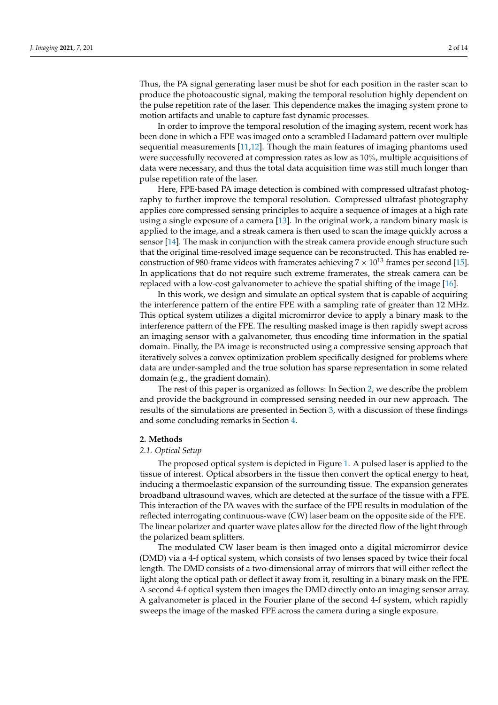Thus, the PA signal generating laser must be shot for each position in the raster scan to produce the photoacoustic signal, making the temporal resolution highly dependent on the pulse repetition rate of the laser. This dependence makes the imaging system prone to motion artifacts and unable to capture fast dynamic processes.

In order to improve the temporal resolution of the imaging system, recent work has been done in which a FPE was imaged onto a scrambled Hadamard pattern over multiple sequential measurements [\[11](#page-14-1)[,12\]](#page-14-2). Though the main features of imaging phantoms used were successfully recovered at compression rates as low as 10%, multiple acquisitions of data were necessary, and thus the total data acquisition time was still much longer than pulse repetition rate of the laser.

Here, FPE-based PA image detection is combined with compressed ultrafast photography to further improve the temporal resolution. Compressed ultrafast photography applies core compressed sensing principles to acquire a sequence of images at a high rate using a single exposure of a camera [\[13\]](#page-14-3). In the original work, a random binary mask is applied to the image, and a streak camera is then used to scan the image quickly across a sensor [\[14\]](#page-14-4). The mask in conjunction with the streak camera provide enough structure such that the original time-resolved image sequence can be reconstructed. This has enabled reconstruction of 980-frame videos with framerates achieving  $7 \times 10^{13}$  frames per second [\[15\]](#page-14-5). In applications that do not require such extreme framerates, the streak camera can be replaced with a low-cost galvanometer to achieve the spatial shifting of the image [\[16\]](#page-14-6).

In this work, we design and simulate an optical system that is capable of acquiring the interference pattern of the entire FPE with a sampling rate of greater than 12 MHz. This optical system utilizes a digital micromirror device to apply a binary mask to the interference pattern of the FPE. The resulting masked image is then rapidly swept across an imaging sensor with a galvanometer, thus encoding time information in the spatial domain. Finally, the PA image is reconstructed using a compressive sensing approach that iteratively solves a convex optimization problem specifically designed for problems where data are under-sampled and the true solution has sparse representation in some related domain (e.g., the gradient domain).

The rest of this paper is organized as follows: In Section [2,](#page-2-0) we describe the problem and provide the background in compressed sensing needed in our new approach. The results of the simulations are presented in Section [3,](#page-7-0) with a discussion of these findings and some concluding remarks in Section [4.](#page-12-0)

#### <span id="page-2-0"></span>**2. Methods**

#### *2.1. Optical Setup*

The proposed optical system is depicted in Figure [1.](#page-3-0) A pulsed laser is applied to the tissue of interest. Optical absorbers in the tissue then convert the optical energy to heat, inducing a thermoelastic expansion of the surrounding tissue. The expansion generates broadband ultrasound waves, which are detected at the surface of the tissue with a FPE. This interaction of the PA waves with the surface of the FPE results in modulation of the reflected interrogating continuous-wave (CW) laser beam on the opposite side of the FPE. The linear polarizer and quarter wave plates allow for the directed flow of the light through the polarized beam splitters.

The modulated CW laser beam is then imaged onto a digital micromirror device (DMD) via a 4-f optical system, which consists of two lenses spaced by twice their focal length. The DMD consists of a two-dimensional array of mirrors that will either reflect the light along the optical path or deflect it away from it, resulting in a binary mask on the FPE. A second 4-f optical system then images the DMD directly onto an imaging sensor array. A galvanometer is placed in the Fourier plane of the second 4-f system, which rapidly sweeps the image of the masked FPE across the camera during a single exposure.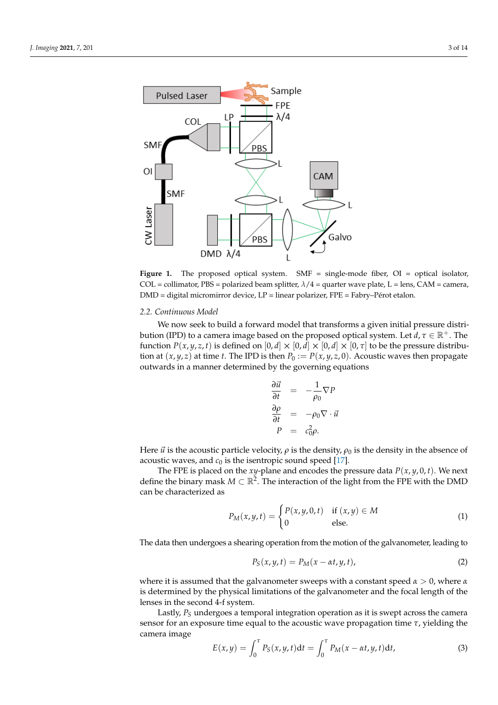<span id="page-3-0"></span>

Figure 1. The proposed optical system. SMF = single-mode fiber, OI = optical isolator, COL = collimator, PBS = polarized beam splitter,  $\lambda/4$  = quarter wave plate, L = lens, CAM = camera, DMD = digital micromirror device, LP = linear polarizer, FPE = Fabry–Pérot etalon.

#### *2.2. Continuous Model*

We now seek to build a forward model that transforms a given initial pressure distribution (IPD) to a camera image based on the proposed optical system. Let  $d, \tau \in \mathbb{R}^+$ . The function  $P(x, y, z, t)$  is defined on  $[0, d] \times [0, d] \times [0, d] \times [0, \tau]$  to be the pressure distribution at  $(x, y, z)$  at time *t*. The IPD is then  $P_0 := P(x, y, z, 0)$ . Acoustic waves then propagate outwards in a manner determined by the governing equations

$$
\frac{\partial \vec{u}}{\partial t} = -\frac{1}{\rho_0} \nabla P \n\frac{\partial \rho}{\partial t} = -\rho_0 \nabla \cdot \vec{u} \nP = c_0^2 \rho.
$$

Here  $\vec{u}$  is the acoustic particle velocity,  $\rho$  is the density,  $\rho_0$  is the density in the absence of acoustic waves, and  $c_0$  is the isentropic sound speed [\[17\]](#page-14-7).

The FPE is placed on the *xy*-plane and encodes the pressure data *P*(*x*, *y*, 0, *t*). We next define the binary mask  $M \subset \mathbb{R}^2$ . The interaction of the light from the FPE with the DMD can be characterized as

<span id="page-3-1"></span>
$$
P_M(x, y, t) = \begin{cases} P(x, y, 0, t) & \text{if } (x, y) \in M \\ 0 & \text{else.} \end{cases}
$$
 (1)

The data then undergoes a shearing operation from the motion of the galvanometer, leading to

$$
P_S(x, y, t) = P_M(x - \alpha t, y, t),
$$
\n(2)

where it is assumed that the galvanometer sweeps with a constant speed  $\alpha > 0$ , where  $\alpha$ is determined by the physical limitations of the galvanometer and the focal length of the lenses in the second 4-f system.

Lastly, *P<sup>S</sup>* undergoes a temporal integration operation as it is swept across the camera sensor for an exposure time equal to the acoustic wave propagation time *τ*, yielding the camera image

<span id="page-3-2"></span>
$$
E(x,y) = \int_0^{\tau} P_S(x,y,t)dt = \int_0^{\tau} P_M(x-\alpha t,y,t)dt,
$$
\n(3)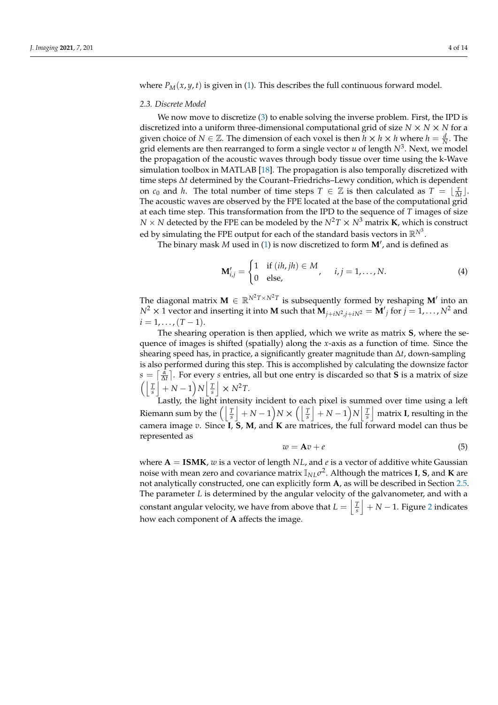where  $P_M(x, y, t)$  is given in [\(1\)](#page-3-1). This describes the full continuous forward model.

## *2.3. Discrete Model*

We now move to discretize [\(3\)](#page-3-2) to enable solving the inverse problem. First, the IPD is discretized into a uniform three-dimensional computational grid of size  $N \times N \times N$  for a given choice of  $N \in \mathbb{Z}$ . The dimension of each voxel is then  $h \times h \times h$  where  $h = \frac{d}{N}$ . The grid elements are then rearranged to form a single vector *u* of length *N*<sup>3</sup> . Next, we model the propagation of the acoustic waves through body tissue over time using the k-Wave simulation toolbox in MATLAB [\[18\]](#page-14-8). The propagation is also temporally discretized with time steps ∆*t* determined by the Courant–Friedrichs–Lewy condition, which is dependent on  $c_0$  and *h*. The total number of time steps  $T \in \mathbb{Z}$  is then calculated as  $T = \lfloor \frac{\tau}{\Delta t} \rfloor$ . The acoustic waves are observed by the FPE located at the base of the computational grid at each time step. This transformation from the IPD to the sequence of *T* images of size *N* × *N* detected by the FPE can be modeled by the  $N^2T \times N^3$  matrix **K**, which is construct ed by simulating the FPE output for each of the standard basis vectors in  $\mathbb{R}^{N^3}.$ 

The binary mask M used in [\(1\)](#page-3-1) is now discretized to form M', and is defined as

$$
\mathbf{M}'_{i,j} = \begin{cases} 1 & \text{if } (ih,jh) \in M \\ 0 & \text{else,} \end{cases}, \quad i,j = 1,\dots,N. \tag{4}
$$

The diagonal matrix  $M \in \mathbb{R}^{N^2T \times N^2T}$  is subsequently formed by reshaping  $M'$  into an  $N^2 \times 1$  vector and inserting it into **M** such that  $M_{j+iN^2,j+iN^2} = M'_{j}$  for  $j = 1, ..., N^2$  and  $i = 1, \ldots, (T - 1).$ 

The shearing operation is then applied, which we write as matrix **S**, where the sequence of images is shifted (spatially) along the *x*-axis as a function of time. Since the shearing speed has, in practice, a significantly greater magnitude than ∆*t*, down-sampling is also performed during this step. This is accomplished by calculating the downsize factor  $s = \left[\frac{\alpha}{\Delta t}\right]$ . For every *s* entries, all but one entry is discarded so that **S** is a matrix of size  $\left( \left| \frac{T}{s} \right| + N - 1 \right) N \left| \frac{T}{s} \right| \times N^2 T.$ 

Lastly, the light intensity incident to each pixel is summed over time using a left Riemann sum by the  $\left(\left\lfloor \frac{T}{s}\right\rfloor + N - 1\right)N \times \left(\left\lfloor \frac{T}{s}\right\rfloor + N - 1\right)N\left\lfloor \frac{T}{s}\right\rfloor$  matrix **I**, resulting in the camera image *v*. Since **I**, **S**, **M**, and **K** are matrices, the full forward model can thus be represented as

<span id="page-4-0"></span>
$$
w = \mathbf{A}v + e \tag{5}
$$

where  $A = ISMK$ , *w* is a vector of length *NL*, and *e* is a vector of additive white Gaussian noise with mean zero and covariance matrix I*NLσ* 2 . Although the matrices **I**, **S**, and **K** are not analytically constructed, one can explicitly form **A**, as will be described in Section [2.5.](#page-6-0) The parameter *L* is determined by the angular velocity of the galvanometer, and with a constant angular velocity, we have from above that  $L = \left| \frac{T}{s} \right| + N - 1$ . Figure [2](#page-5-0) indicates how each component of **A** affects the image.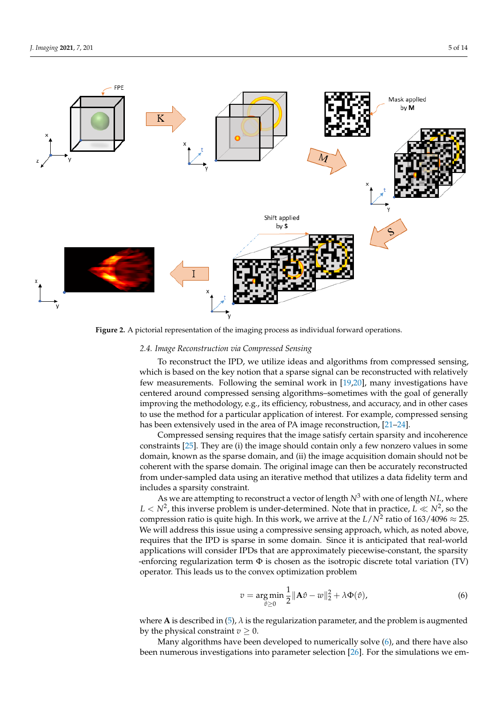<span id="page-5-0"></span>

**Figure 2.** A pictorial representation of the imaging process as individual forward operations.

#### <span id="page-5-2"></span>*2.4. Image Reconstruction via Compressed Sensing*

To reconstruct the IPD, we utilize ideas and algorithms from compressed sensing, which is based on the key notion that a sparse signal can be reconstructed with relatively few measurements. Following the seminal work in [\[19,](#page-14-9)[20\]](#page-14-10), many investigations have centered around compressed sensing algorithms–sometimes with the goal of generally improving the methodology, e.g., its efficiency, robustness, and accuracy, and in other cases to use the method for a particular application of interest. For example, compressed sensing has been extensively used in the area of PA image reconstruction, [\[21–](#page-14-11)[24\]](#page-14-12).

Compressed sensing requires that the image satisfy certain sparsity and incoherence constraints [\[25\]](#page-14-13). They are (i) the image should contain only a few nonzero values in some domain, known as the sparse domain, and (ii) the image acquisition domain should not be coherent with the sparse domain. The original image can then be accurately reconstructed from under-sampled data using an iterative method that utilizes a data fidelity term and includes a sparsity constraint.

As we are attempting to reconstruct a vector of length *N*<sup>3</sup> with one of length *NL*, where  $L < N^2$ , this inverse problem is under-determined. Note that in practice,  $L \ll N^2$ , so the compression ratio is quite high. In this work, we arrive at the  $L/N^2$  ratio of  $163/4096 \approx 25$ . We will address this issue using a compressive sensing approach, which, as noted above, requires that the IPD is sparse in some domain. Since it is anticipated that real-world applications will consider IPDs that are approximately piecewise-constant, the sparsity -enforcing regularization term  $\Phi$  is chosen as the isotropic discrete total variation (TV) operator. This leads us to the convex optimization problem

<span id="page-5-1"></span>
$$
v = \underset{\hat{v} \ge 0}{\arg \min} \frac{1}{2} ||\mathbf{A}\hat{v} - w||_2^2 + \lambda \Phi(\hat{v}), \tag{6}
$$

where **A** is described in [\(5\)](#page-4-0), *λ* is the regularization parameter, and the problem is augmented by the physical constraint  $v \geq 0$ .

Many algorithms have been developed to numerically solve [\(6\)](#page-5-1), and there have also been numerous investigations into parameter selection [\[26\]](#page-14-14). For the simulations we em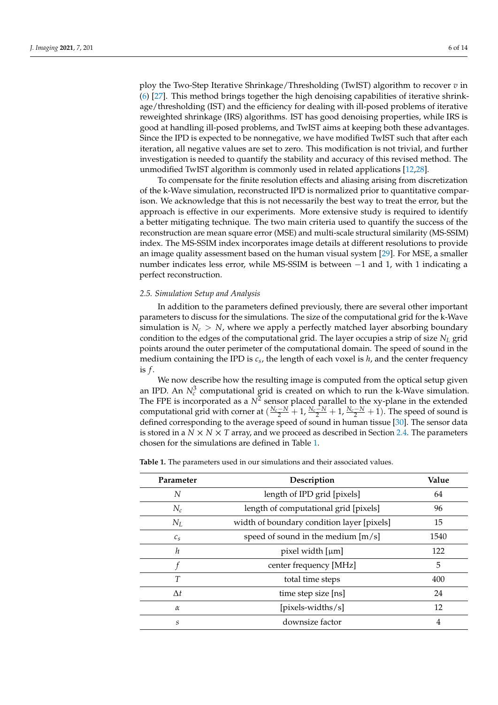ploy the Two-Step Iterative Shrinkage/Thresholding (TwIST) algorithm to recover *v* in [\(6\)](#page-5-1) [\[27\]](#page-14-15). This method brings together the high denoising capabilities of iterative shrinkage/thresholding (IST) and the efficiency for dealing with ill-posed problems of iterative reweighted shrinkage (IRS) algorithms. IST has good denoising properties, while IRS is good at handling ill-posed problems, and TwIST aims at keeping both these advantages. Since the IPD is expected to be nonnegative, we have modified TwIST such that after each iteration, all negative values are set to zero. This modification is not trivial, and further investigation is needed to quantify the stability and accuracy of this revised method. The unmodified TwIST algorithm is commonly used in related applications [\[12](#page-14-2)[,28\]](#page-14-16).

To compensate for the finite resolution effects and aliasing arising from discretization of the k-Wave simulation, reconstructed IPD is normalized prior to quantitative comparison. We acknowledge that this is not necessarily the best way to treat the error, but the approach is effective in our experiments. More extensive study is required to identify a better mitigating technique. The two main criteria used to quantify the success of the reconstruction are mean square error (MSE) and multi-scale structural similarity (MS-SSIM) index. The MS-SSIM index incorporates image details at different resolutions to provide an image quality assessment based on the human visual system [\[29\]](#page-14-17). For MSE, a smaller number indicates less error, while MS-SSIM is between −1 and 1, with 1 indicating a perfect reconstruction.

### <span id="page-6-0"></span>*2.5. Simulation Setup and Analysis*

In addition to the parameters defined previously, there are several other important parameters to discuss for the simulations. The size of the computational grid for the k-Wave simulation is  $N_c > N$ , where we apply a perfectly matched layer absorbing boundary condition to the edges of the computational grid. The layer occupies a strip of size *N<sup>L</sup>* grid points around the outer perimeter of the computational domain. The speed of sound in the medium containing the IPD is *c<sup>s</sup>* , the length of each voxel is *h*, and the center frequency is *f* .

We now describe how the resulting image is computed from the optical setup given an IPD. An  $N_c^3$  computational grid is created on which to run the k-Wave simulation. The FPE is incorporated as a  $N^2$  sensor placed parallel to the xy-plane in the extended computational grid with corner at  $(\frac{N_c-N}{2}+1, \frac{N_c-N}{2}+1, \frac{N_c-N}{2}+1)$ . The speed of sound is defined corresponding to the average speed of sound in human tissue [\[30\]](#page-14-18). The sensor data is stored in a  $N \times N \times T$  array, and we proceed as described in Section [2.4.](#page-5-2) The parameters chosen for the simulations are defined in Table [1.](#page-6-1)

<span id="page-6-1"></span>**Table 1.** The parameters used in our simulations and their associated values.

| Parameter       | Description                                | Value |
|-----------------|--------------------------------------------|-------|
| N               | length of IPD grid [pixels]                | 64    |
| $N_c$           | length of computational grid [pixels]      | 96    |
| $N_L$           | width of boundary condition layer [pixels] | 15    |
| $\mathcal{C}_S$ | speed of sound in the medium $[m/s]$       | 1540  |
| h               | pixel width [µm]                           | 122   |
|                 | center frequency [MHz]                     | 5     |
| T               | total time steps                           | 400   |
| $\Delta t$      | time step size [ns]                        | 24    |
| $\alpha$        | $[\text{pixels-widths/s}]$                 | 12    |
| S               | downsize factor                            | 4     |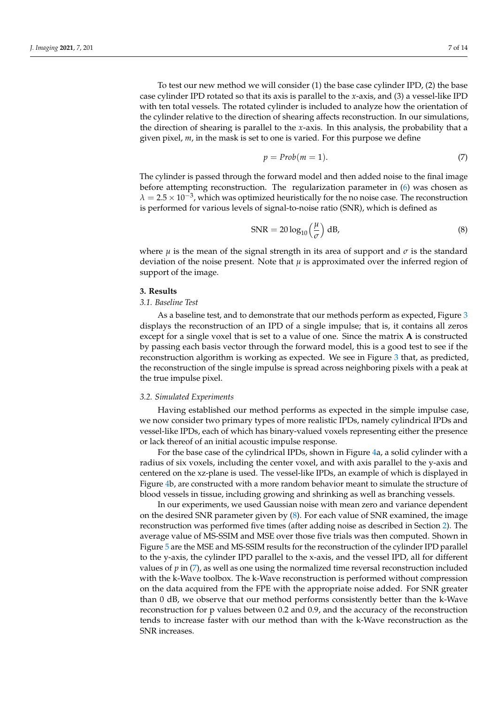To test our new method we will consider (1) the base case cylinder IPD, (2) the base case cylinder IPD rotated so that its axis is parallel to the *x*-axis, and (3) a vessel-like IPD with ten total vessels. The rotated cylinder is included to analyze how the orientation of the cylinder relative to the direction of shearing affects reconstruction. In our simulations, the direction of shearing is parallel to the *x*-axis. In this analysis, the probability that a given pixel, *m*, in the mask is set to one is varied. For this purpose we define

<span id="page-7-2"></span>
$$
p = Prob(m = 1). \tag{7}
$$

The cylinder is passed through the forward model and then added noise to the final image before attempting reconstruction. The regularization parameter in [\(6\)](#page-5-1) was chosen as  $\lambda = 2.5 \times 10^{-3}$ , which was optimized heuristically for the no noise case. The reconstruction is performed for various levels of signal-to-noise ratio (SNR), which is defined as

<span id="page-7-1"></span>
$$
SNR = 20 \log_{10} \left(\frac{\mu}{\sigma}\right) dB,
$$
\n(8)

where  $\mu$  is the mean of the signal strength in its area of support and  $\sigma$  is the standard deviation of the noise present. Note that  $\mu$  is approximated over the inferred region of support of the image.

#### <span id="page-7-0"></span>**3. Results**

#### *3.1. Baseline Test*

As a baseline test, and to demonstrate that our methods perform as expected, Figure [3](#page-8-0) displays the reconstruction of an IPD of a single impulse; that is, it contains all zeros except for a single voxel that is set to a value of one. Since the matrix **A** is constructed by passing each basis vector through the forward model, this is a good test to see if the reconstruction algorithm is working as expected. We see in Figure [3](#page-8-0) that, as predicted, the reconstruction of the single impulse is spread across neighboring pixels with a peak at the true impulse pixel.

## *3.2. Simulated Experiments*

Having established our method performs as expected in the simple impulse case, we now consider two primary types of more realistic IPDs, namely cylindrical IPDs and vessel-like IPDs, each of which has binary-valued voxels representing either the presence or lack thereof of an initial acoustic impulse response.

For the base case of the cylindrical IPDs, shown in Figure [4a](#page-8-1), a solid cylinder with a radius of six voxels, including the center voxel, and with axis parallel to the y-axis and centered on the xz-plane is used. The vessel-like IPDs, an example of which is displayed in Figure [4b](#page-8-1), are constructed with a more random behavior meant to simulate the structure of blood vessels in tissue, including growing and shrinking as well as branching vessels.

In our experiments, we used Gaussian noise with mean zero and variance dependent on the desired SNR parameter given by [\(8\)](#page-7-1). For each value of SNR examined, the image reconstruction was performed five times (after adding noise as described in Section [2\)](#page-2-0). The average value of MS-SSIM and MSE over those five trials was then computed. Shown in Figure [5](#page-9-0) are the MSE and MS-SSIM results for the reconstruction of the cylinder IPD parallel to the y-axis, the cylinder IPD parallel to the x-axis, and the vessel IPD, all for different values of *p* in [\(7\)](#page-7-2), as well as one using the normalized time reversal reconstruction included with the k-Wave toolbox. The k-Wave reconstruction is performed without compression on the data acquired from the FPE with the appropriate noise added. For SNR greater than 0 dB, we observe that our method performs consistently better than the k-Wave reconstruction for p values between 0.2 and 0.9, and the accuracy of the reconstruction tends to increase faster with our method than with the k-Wave reconstruction as the SNR increases.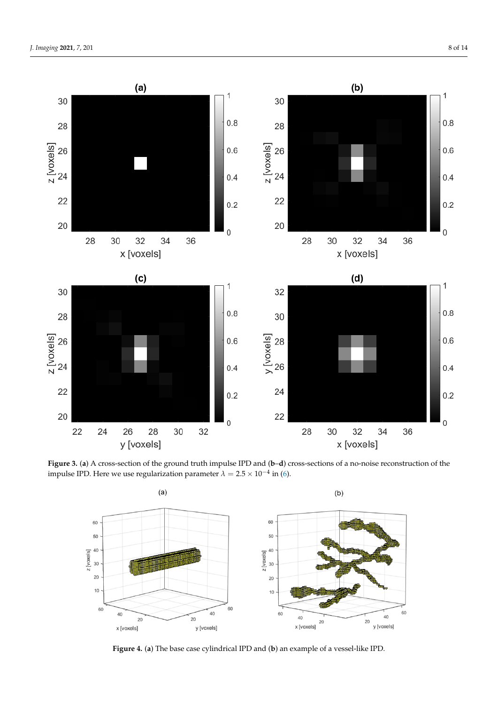<span id="page-8-0"></span>

<span id="page-8-1"></span>**Figure 3.** (**a**) A cross-section of the ground truth impulse IPD and (**b**–**d**) cross-sections of a no-noise reconstruction of the impulse IPD. Here we use regularization parameter  $\lambda = 2.5 \times 10^{-4}$  in [\(6\)](#page-5-1).



**Figure 4.** (**a**) The base case cylindrical IPD and (**b**) an example of a vessel-like IPD.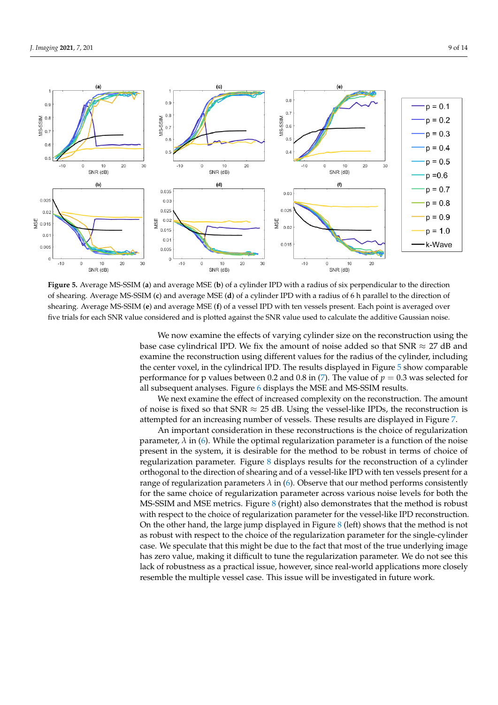<span id="page-9-0"></span>

**Figure 5.** Average MS-SSIM (**a**) and average MSE (**b**) of a cylinder IPD with a radius of six perpendicular to the direction of shearing. Average MS-SSIM (**c**) and average MSE (**d**) of a cylinder IPD with a radius of 6 h parallel to the direction of shearing. Average MS-SSIM (**e**) and average MSE (**f**) of a vessel IPD with ten vessels present. Each point is averaged over five trials for each SNR value considered and is plotted against the SNR value used to calculate the additive Gaussian noise.

We now examine the effects of varying cylinder size on the reconstruction using the base case cylindrical IPD. We fix the amount of noise added so that  $SNR \approx 27$  dB and examine the reconstruction using different values for the radius of the cylinder, including the center voxel, in the cylindrical IPD. The results displayed in Figure [5](#page-9-0) show comparable performance for p values between 0.2 and 0.8 in [\(7\)](#page-7-2). The value of *p* = 0.3 was selected for all subsequent analyses. Figure [6](#page-10-0) displays the MSE and MS-SSIM results.

We next examine the effect of increased complexity on the reconstruction. The amount of noise is fixed so that SNR  $\approx$  25 dB. Using the vessel-like IPDs, the reconstruction is attempted for an increasing number of vessels. These results are displayed in Figure [7.](#page-11-0)

An important consideration in these reconstructions is the choice of regularization parameter,  $\lambda$  in [\(6\)](#page-5-1). While the optimal regularization parameter is a function of the noise present in the system, it is desirable for the method to be robust in terms of choice of regularization parameter. Figure [8](#page-12-1) displays results for the reconstruction of a cylinder orthogonal to the direction of shearing and of a vessel-like IPD with ten vessels present for a range of regularization parameters  $\lambda$  in [\(6\)](#page-5-1). Observe that our method performs consistently for the same choice of regularization parameter across various noise levels for both the MS-SSIM and MSE metrics. Figure [8](#page-12-1) (right) also demonstrates that the method is robust with respect to the choice of regularization parameter for the vessel-like IPD reconstruction. On the other hand, the large jump displayed in Figure  $8$  (left) shows that the method is not as robust with respect to the choice of the regularization parameter for the single-cylinder case. We speculate that this might be due to the fact that most of the true underlying image has zero value, making it difficult to tune the regularization parameter. We do not see this lack of robustness as a practical issue, however, since real-world applications more closely resemble the multiple vessel case. This issue will be investigated in future work.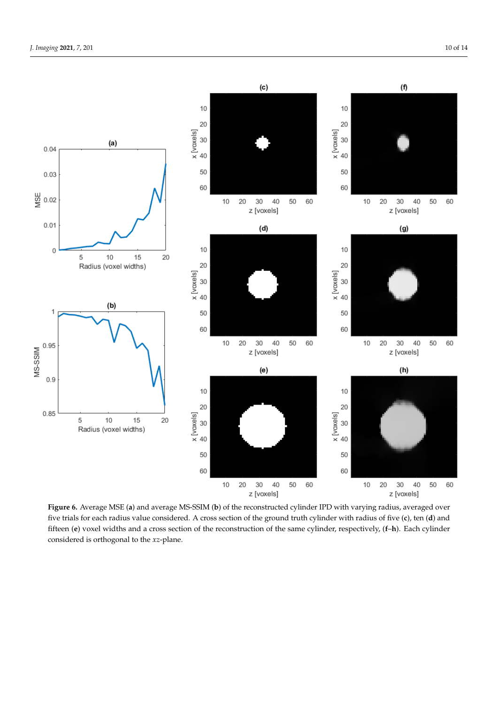<span id="page-10-0"></span>

**Figure 6.** Average MSE (**a**) and average MS-SSIM (**b**) of the reconstructed cylinder IPD with varying radius, averaged over five trials for each radius value considered. A cross section of the ground truth cylinder with radius of five (**c**), ten (**d**) and fifteen (**e**) voxel widths and a cross section of the reconstruction of the same cylinder, respectively, (**f**–**h**). Each cylinder considered is orthogonal to the *xz*-plane.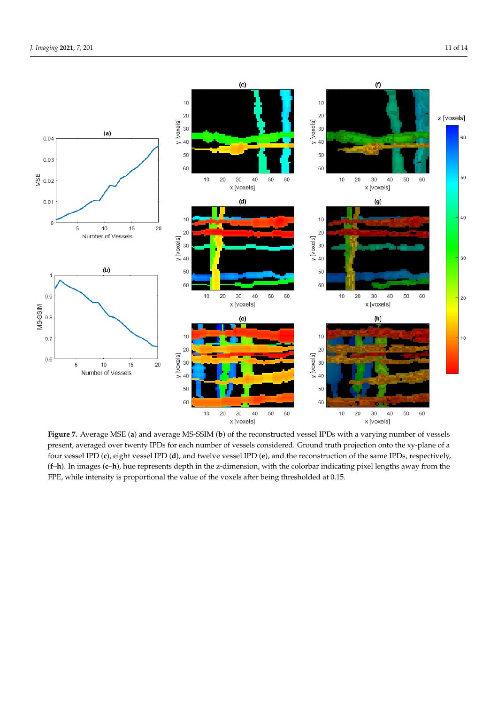<span id="page-11-0"></span>

**Figure 7.** Average MSE (**a**) and average MS-SSIM (**b**) of the reconstructed vessel IPDs with a varying number of vessels present, averaged over twenty IPDs for each number of vessels considered. Ground truth projection onto the xy-plane of a four vessel IPD (**c**), eight vessel IPD (**d**), and twelve vessel IPD (**e**), and the reconstruction of the same IPDs, respectively, (**f**–**h**). In images (**c**–**h**), hue represents depth in the z-dimension, with the colorbar indicating pixel lengths away from the FPE, while intensity is proportional the value of the voxels after being thresholded at 0.15.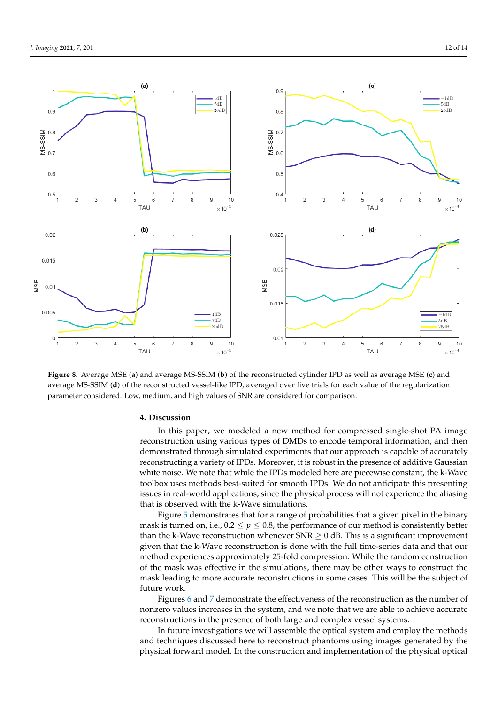<span id="page-12-1"></span>

**Figure 8.** Average MSE (**a**) and average MS-SSIM (**b**) of the reconstructed cylinder IPD as well as average MSE (**c**) and average MS-SSIM (**d**) of the reconstructed vessel-like IPD, averaged over five trials for each value of the regularization parameter considered. Low, medium, and high values of SNR are considered for comparison.

### <span id="page-12-0"></span>**4. Discussion**

In this paper, we modeled a new method for compressed single-shot PA image reconstruction using various types of DMDs to encode temporal information, and then demonstrated through simulated experiments that our approach is capable of accurately reconstructing a variety of IPDs. Moreover, it is robust in the presence of additive Gaussian white noise. We note that while the IPDs modeled here are piecewise constant, the k-Wave toolbox uses methods best-suited for smooth IPDs. We do not anticipate this presenting issues in real-world applications, since the physical process will not experience the aliasing that is observed with the k-Wave simulations.

Figure [5](#page-9-0) demonstrates that for a range of probabilities that a given pixel in the binary mask is turned on, i.e.,  $0.2 \le p \le 0.8$ , the performance of our method is consistently better than the k-Wave reconstruction whenever  $SNR \geq 0$  dB. This is a significant improvement given that the k-Wave reconstruction is done with the full time-series data and that our method experiences approximately 25-fold compression. While the random construction of the mask was effective in the simulations, there may be other ways to construct the mask leading to more accurate reconstructions in some cases. This will be the subject of future work.

Figures [6](#page-10-0) and [7](#page-11-0) demonstrate the effectiveness of the reconstruction as the number of nonzero values increases in the system, and we note that we are able to achieve accurate reconstructions in the presence of both large and complex vessel systems.

In future investigations we will assemble the optical system and employ the methods and techniques discussed here to reconstruct phantoms using images generated by the physical forward model. In the construction and implementation of the physical optical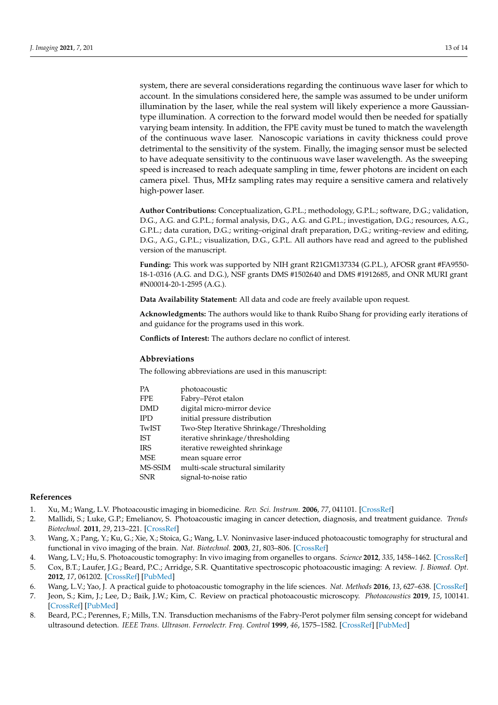system, there are several considerations regarding the continuous wave laser for which to account. In the simulations considered here, the sample was assumed to be under uniform illumination by the laser, while the real system will likely experience a more Gaussiantype illumination. A correction to the forward model would then be needed for spatially varying beam intensity. In addition, the FPE cavity must be tuned to match the wavelength of the continuous wave laser. Nanoscopic variations in cavity thickness could prove detrimental to the sensitivity of the system. Finally, the imaging sensor must be selected to have adequate sensitivity to the continuous wave laser wavelength. As the sweeping speed is increased to reach adequate sampling in time, fewer photons are incident on each camera pixel. Thus, MHz sampling rates may require a sensitive camera and relatively high-power laser.

**Author Contributions:** Conceptualization, G.P.L.; methodology, G.P.L.; software, D.G.; validation, D.G., A.G. and G.P.L.; formal analysis, D.G., A.G. and G.P.L.; investigation, D.G.; resources, A.G., G.P.L.; data curation, D.G.; writing–original draft preparation, D.G.; writing–review and editing, D.G., A.G., G.P.L.; visualization, D.G., G.P.L. All authors have read and agreed to the published version of the manuscript.

**Funding:** This work was supported by NIH grant R21GM137334 (G.P.L.), AFOSR grant #FA9550- 18-1-0316 (A.G. and D.G.), NSF grants DMS #1502640 and DMS #1912685, and ONR MURI grant #N00014-20-1-2595 (A.G.).

**Data Availability Statement:** All data and code are freely available upon request.

**Acknowledgments:** The authors would like to thank Ruibo Shang for providing early iterations of and guidance for the programs used in this work.

**Conflicts of Interest:** The authors declare no conflict of interest.

#### **Abbreviations**

The following abbreviations are used in this manuscript:

| <b>PA</b>  | photoacoustic                             |
|------------|-------------------------------------------|
| <b>FPE</b> | Fabry-Pérot etalon                        |
| <b>DMD</b> | digital micro-mirror device               |
| <b>IPD</b> | initial pressure distribution             |
| TwIST      | Two-Step Iterative Shrinkage/Thresholding |
| IST        | iterative shrinkage/thresholding          |
| <b>IRS</b> | iterative reweighted shrinkage            |
| <b>MSE</b> | mean square error                         |
| MS-SSIM    | multi-scale structural similarity         |
| <b>SNR</b> | signal-to-noise ratio                     |
|            |                                           |

#### **References**

- <span id="page-13-0"></span>1. Xu, M.; Wang, L.V. Photoacoustic imaging in biomedicine. *Rev. Sci. Instrum.* **2006**, *77*, 041101. [\[CrossRef\]](http://doi.org/10.1063/1.2195024)
- 2. Mallidi, S.; Luke, G.P.; Emelianov, S. Photoacoustic imaging in cancer detection, diagnosis, and treatment guidance. *Trends Biotechnol.* **2011**, *29*, 213–221. [\[CrossRef\]](http://dx.doi.org/10.1016/j.tibtech.2011.01.006)
- 3. Wang, X.; Pang, Y.; Ku, G.; Xie, X.; Stoica, G.; Wang, L.V. Noninvasive laser-induced photoacoustic tomography for structural and functional in vivo imaging of the brain. *Nat. Biotechnol.* **2003**, *21*, 803–806. [\[CrossRef\]](http://dx.doi.org/10.1038/nbt839)
- <span id="page-13-1"></span>4. Wang, L.V.; Hu, S. Photoacoustic tomography: In vivo imaging from organelles to organs. *Science* **2012**, *335*, 1458–1462. [\[CrossRef\]](http://dx.doi.org/10.1126/science.1216210)
- <span id="page-13-2"></span>5. Cox, B.T.; Laufer, J.G.; Beard, P.C.; Arridge, S.R. Quantitative spectroscopic photoacoustic imaging: A review. *J. Biomed. Opt.* **2012**, *17*, 061202. [\[CrossRef\]](http://dx.doi.org/10.1117/1.JBO.17.6.061202) [\[PubMed\]](http://www.ncbi.nlm.nih.gov/pubmed/22734732)
- <span id="page-13-3"></span>6. Wang, L.V.; Yao, J. A practical guide to photoacoustic tomography in the life sciences. *Nat. Methods* **2016**, *13*, 627–638. [\[CrossRef\]](http://dx.doi.org/10.1038/nmeth.3925)
- <span id="page-13-4"></span>7. Jeon, S.; Kim, J.; Lee, D.; Baik, J.W.; Kim, C. Review on practical photoacoustic microscopy. *Photoacoustics* **2019**, *15*, 100141. [\[CrossRef\]](http://dx.doi.org/10.1016/j.pacs.2019.100141) [\[PubMed\]](http://www.ncbi.nlm.nih.gov/pubmed/31463194)
- <span id="page-13-5"></span>8. Beard, P.C.; Perennes, F.; Mills, T.N. Transduction mechanisms of the Fabry-Perot polymer film sensing concept for wideband ultrasound detection. *IEEE Trans. Ultrason. Ferroelectr. Freq. Control* **1999**, *46*, 1575–1582. [\[CrossRef\]](http://dx.doi.org/10.1109/58.808883) [\[PubMed\]](http://www.ncbi.nlm.nih.gov/pubmed/18244356)